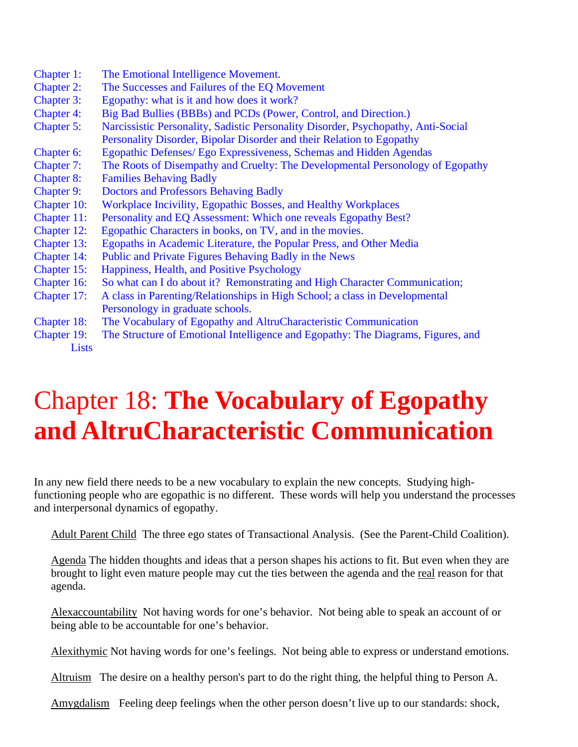- Chapter 1: The Emotional Intelligence Movement.
- Chapter 2: The Successes and Failures of the EQ Movement
- Chapter 3: Egopathy: what is it and how does it work?
- Chapter 4: Big Bad Bullies (BBBs) and PCDs (Power, Control, and Direction.)
- Chapter 5: Narcissistic Personality, Sadistic Personality Disorder, Psychopathy, Anti-Social Personality Disorder, Bipolar Disorder and their Relation to Egopathy
- Chapter 6: Egopathic Defenses/ Ego Expressiveness, Schemas and Hidden Agendas
- Chapter 7: The Roots of Disempathy and Cruelty: The Developmental Personology of Egopathy
- Chapter 8: Families Behaving Badly
- Chapter 9: Doctors and Professors Behaving Badly
- Chapter 10: Workplace Incivility, Egopathic Bosses, and Healthy Workplaces
- Chapter 11: Personality and EQ Assessment: Which one reveals Egopathy Best?
- Chapter 12: Egopathic Characters in books, on TV, and in the movies.
- Chapter 13: Egopaths in Academic Literature, the Popular Press, and Other Media
- Chapter 14: Public and Private Figures Behaving Badly in the News
- Chapter 15: Happiness, Health, and Positive Psychology
- Chapter 16: So what can I do about it? Remonstrating and High Character Communication;
- Chapter 17: A class in Parenting/Relationships in High School; a class in Developmental Personology in graduate schools.
- Chapter 18: The Vocabulary of Egopathy and AltruCharacteristic Communication
- Chapter 19: The Structure of Emotional Intelligence and Egopathy: The Diagrams, Figures, and Lists

## Chapter 18: **The Vocabulary of Egopathy and AltruCharacteristic Communication**

In any new field there needs to be a new vocabulary to explain the new concepts. Studying highfunctioning people who are egopathic is no different. These words will help you understand the processes and interpersonal dynamics of egopathy.

Adult Parent Child The three ego states of Transactional Analysis. (See the Parent-Child Coalition).

Agenda The hidden thoughts and ideas that a person shapes his actions to fit. But even when they are brought to light even mature people may cut the ties between the agenda and the real reason for that agenda.

Alexaccountability Not having words for one's behavior. Not being able to speak an account of or being able to be accountable for one's behavior.

Alexithymic Not having words for one's feelings. Not being able to express or understand emotions.

Altruism The desire on a healthy person's part to do the right thing, the helpful thing to Person A.

Amygdalism Feeling deep feelings when the other person doesn't live up to our standards: shock,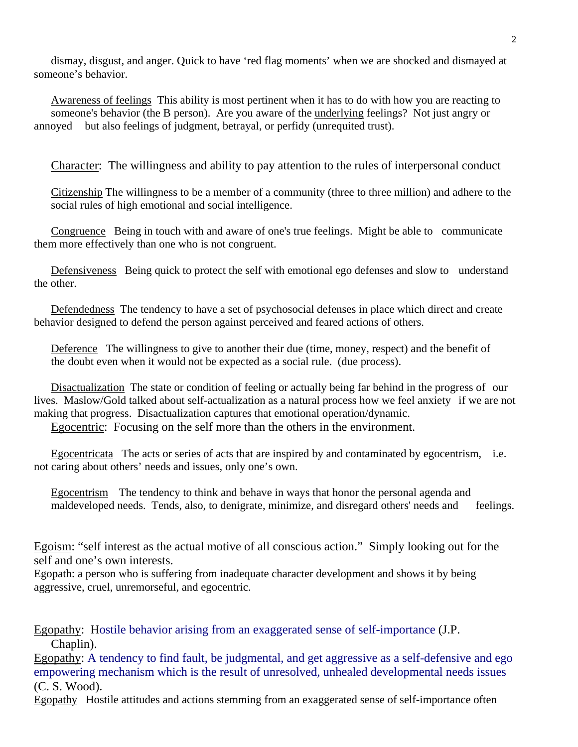dismay, disgust, and anger. Quick to have 'red flag moments' when we are shocked and dismayed at someone's behavior.

Awareness of feelings This ability is most pertinent when it has to do with how you are reacting to someone's behavior (the B person). Are you aware of the underlying feelings? Not just angry or annoyed but also feelings of judgment, betrayal, or perfidy (unrequited trust).

Character: The willingness and ability to pay attention to the rules of interpersonal conduct

Citizenship The willingness to be a member of a community (three to three million) and adhere to the social rules of high emotional and social intelligence.

Congruence Being in touch with and aware of one's true feelings. Might be able to communicate them more effectively than one who is not congruent.

Defensiveness Being quick to protect the self with emotional ego defenses and slow to understand the other.

Defendedness The tendency to have a set of psychosocial defenses in place which direct and create behavior designed to defend the person against perceived and feared actions of others.

Deference The willingness to give to another their due (time, money, respect) and the benefit of the doubt even when it would not be expected as a social rule. (due process).

Disactualization The state or condition of feeling or actually being far behind in the progress of our lives. Maslow/Gold talked about self-actualization as a natural process how we feel anxiety if we are not making that progress. Disactualization captures that emotional operation/dynamic.

Egocentric: Focusing on the self more than the others in the environment.

Egocentricata The acts or series of acts that are inspired by and contaminated by egocentrism, i.e. not caring about others' needs and issues, only one's own.

Egocentrism The tendency to think and behave in ways that honor the personal agenda and maldeveloped needs. Tends, also, to denigrate, minimize, and disregard others' needs and feelings.

Egoism: "self interest as the actual motive of all conscious action." Simply looking out for the self and one's own interests.

Egopath: a person who is suffering from inadequate character development and shows it by being aggressive, cruel, unremorseful, and egocentric.

Egopathy: Hostile behavior arising from an exaggerated sense of self-importance (J.P. Chaplin).

Egopathy: A tendency to find fault, be judgmental, and get aggressive as a self-defensive and ego empowering mechanism which is the result of unresolved, unhealed developmental needs issues (C. S. Wood).

Egopathy Hostile attitudes and actions stemming from an exaggerated sense of self-importance often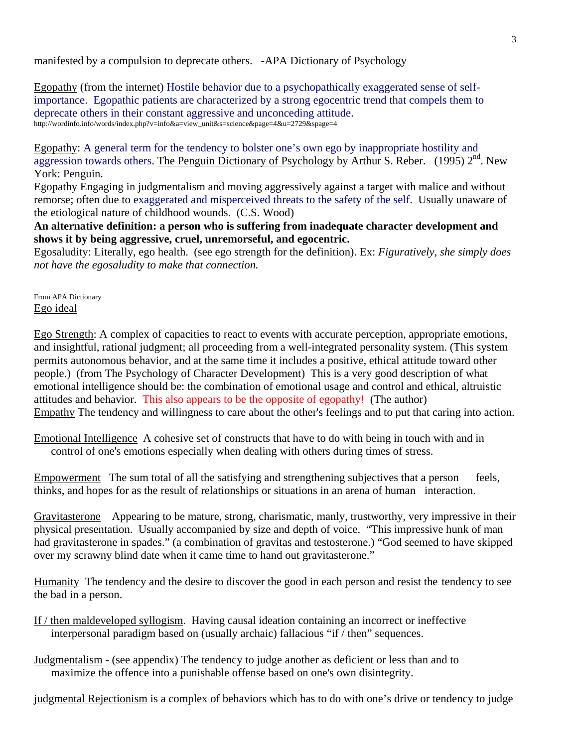manifested by a compulsion to deprecate others. -APA Dictionary of Psychology

Egopathy (from the internet) Hostile behavior due to a psychopathically exaggerated sense of selfimportance. Egopathic patients are characterized by a strong egocentric trend that compels them to deprecate others in their constant aggressive and unconceding attitude.<br>http://wordinfo.info/words/index.php?v=info&a=view\_unit&s=science&page=4&u=2729&spage=4

Egopathy: A general term for the tendency to bolster one's own ego by inappropriate hostility and aggression towards others. The Penguin Dictionary of Psychology by Arthur S. Reber. (1995)  $2<sup>nd</sup>$ . New York: Penguin.

Egopathy Engaging in judgmentalism and moving aggressively against a target with malice and without remorse; often due to exaggerated and misperceived threats to the safety of the self. Usually unaware of the etiological nature of childhood wounds. (C.S. Wood)

**An alternative definition: a person who is suffering from inadequate character development and shows it by being aggressive, cruel, unremorseful, and egocentric.**

Egosaludity: Literally, ego health. (see ego strength for the definition). Ex: *Figuratively, she simply does not have the egosaludity to make that connection.* 

From APA Dictionary Ego ideal

Ego Strength: A complex of capacities to react to events with accurate perception, appropriate emotions, and insightful, rational judgment; all proceeding from a well-integrated personality system. (This system permits autonomous behavior, and at the same time it includes a positive, ethical attitude toward other people.) (from The Psychology of Character Development) This is a very good description of what emotional intelligence should be: the combination of emotional usage and control and ethical, altruistic attitudes and behavior. This also appears to be the opposite of egopathy! (The author) Empathy The tendency and willingness to care about the other's feelings and to put that caring into action.

Emotional Intelligence A cohesive set of constructs that have to do with being in touch with and in control of one's emotions especially when dealing with others during times of stress.

Empowerment The sum total of all the satisfying and strengthening subjectives that a person feels, thinks, and hopes for as the result of relationships or situations in an arena of human interaction.

Gravitasterone Appearing to be mature, strong, charismatic, manly, trustworthy, very impressive in their physical presentation. Usually accompanied by size and depth of voice. "This impressive hunk of man had gravitasterone in spades." (a combination of gravitas and testosterone.) "God seemed to have skipped over my scrawny blind date when it came time to hand out gravitasterone."

Humanity The tendency and the desire to discover the good in each person and resist the tendency to see the bad in a person.

- If / then maldeveloped syllogism. Having causal ideation containing an incorrect or ineffective interpersonal paradigm based on (usually archaic) fallacious "if / then" sequences.
- Judgmentalism (see appendix) The tendency to judge another as deficient or less than and to maximize the offence into a punishable offense based on one's own disintegrity.

judgmental Rejectionism is a complex of behaviors which has to do with one's drive or tendency to judge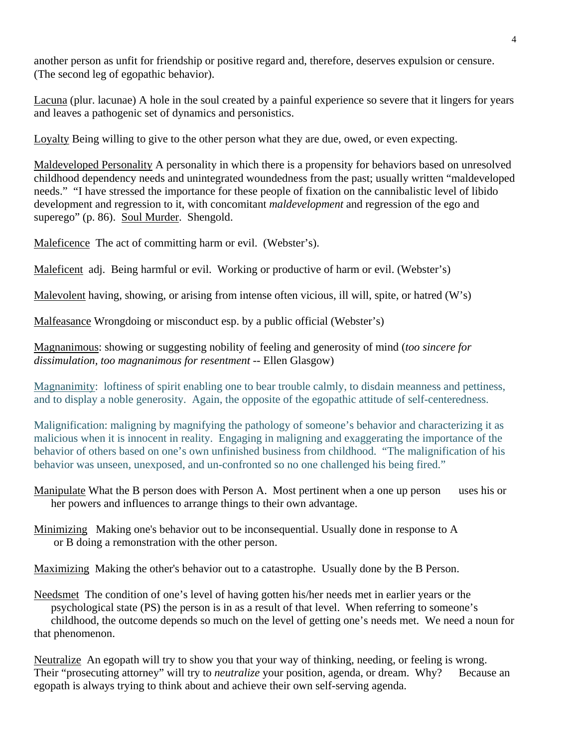another person as unfit for friendship or positive regard and, therefore, deserves expulsion or censure. (The second leg of egopathic behavior).

Lacuna (plur. lacunae) A hole in the soul created by a painful experience so severe that it lingers for years and leaves a pathogenic set of dynamics and personistics.

Loyalty Being willing to give to the other person what they are due, owed, or even expecting.

Maldeveloped Personality A personality in which there is a propensity for behaviors based on unresolved childhood dependency needs and unintegrated woundedness from the past; usually written "maldeveloped needs." "I have stressed the importance for these people of fixation on the cannibalistic level of libido development and regression to it, with concomitant *maldevelopment* and regression of the ego and superego" (p. 86). Soul Murder. Shengold.

Maleficence The act of committing harm or evil. (Webster's).

Maleficent adj. Being harmful or evil. Working or productive of harm or evil. (Webster's)

Malevolent having, showing, or arising from intense often vicious, ill will, spite, or hatred (W's)

Malfeasance Wrongdoing or misconduct esp. by a public official (Webster's)

Magnanimous: showing or suggesting nobility of feeling and generosity of mind (*too sincere for dissimulation, too magnanimous for resentment* -- Ellen Glasgow)

Magnanimity: loftiness of spirit enabling one to bear trouble calmly, to disdain meanness and pettiness, and to display a noble generosity. Again, the opposite of the egopathic attitude of self-centeredness.

Malignification: maligning by magnifying the pathology of someone's behavior and characterizing it as malicious when it is innocent in reality. Engaging in maligning and exaggerating the importance of the behavior of others based on one's own unfinished business from childhood. "The malignification of his behavior was unseen, unexposed, and un-confronted so no one challenged his being fired."

Manipulate What the B person does with Person A. Most pertinent when a one up person uses his or her powers and influences to arrange things to their own advantage.

Minimizing Making one's behavior out to be inconsequential. Usually done in response to A or B doing a remonstration with the other person.

Maximizing Making the other's behavior out to a catastrophe. Usually done by the B Person.

Needsmet The condition of one's level of having gotten his/her needs met in earlier years or the psychological state (PS) the person is in as a result of that level. When referring to someone's childhood, the outcome depends so much on the level of getting one's needs met. We need a noun for that phenomenon.

Neutralize An egopath will try to show you that your way of thinking, needing, or feeling is wrong. Their "prosecuting attorney" will try to *neutralize* your position, agenda, or dream. Why? Because an egopath is always trying to think about and achieve their own self-serving agenda.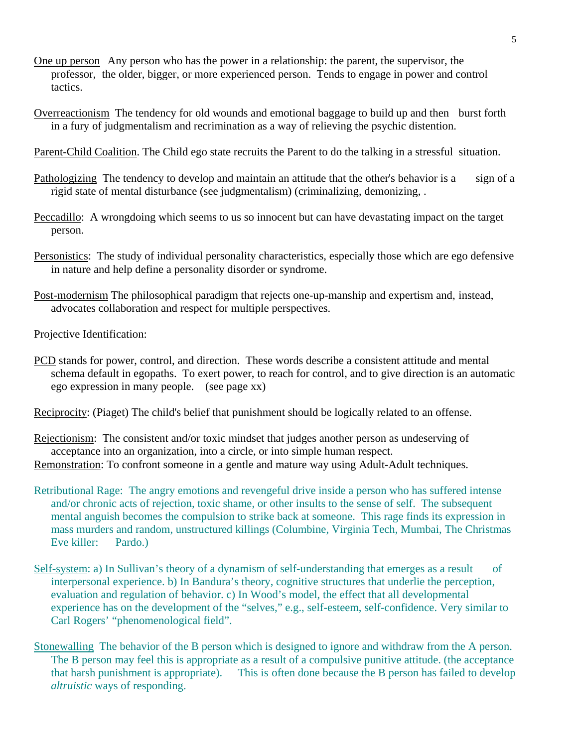- One up person Any person who has the power in a relationship: the parent, the supervisor, the professor, the older, bigger, or more experienced person. Tends to engage in power and control tactics.
- Overreactionism The tendency for old wounds and emotional baggage to build up and then burst forth in a fury of judgmentalism and recrimination as a way of relieving the psychic distention.

Parent-Child Coalition. The Child ego state recruits the Parent to do the talking in a stressful situation.

- Pathologizing The tendency to develop and maintain an attitude that the other's behavior is a sign of a rigid state of mental disturbance (see judgmentalism) (criminalizing, demonizing, .
- Peccadillo: A wrongdoing which seems to us so innocent but can have devastating impact on the target person.
- Personistics: The study of individual personality characteristics, especially those which are ego defensive in nature and help define a personality disorder or syndrome.
- Post-modernism The philosophical paradigm that rejects one-up-manship and expertism and, instead, advocates collaboration and respect for multiple perspectives.

Projective Identification:

PCD stands for power, control, and direction. These words describe a consistent attitude and mental schema default in egopaths. To exert power, to reach for control, and to give direction is an automatic ego expression in many people. (see page xx)

Reciprocity: (Piaget) The child's belief that punishment should be logically related to an offense.

Rejectionism: The consistent and/or toxic mindset that judges another person as undeserving of acceptance into an organization, into a circle, or into simple human respect. Remonstration: To confront someone in a gentle and mature way using Adult-Adult techniques.

- Retributional Rage: The angry emotions and revengeful drive inside a person who has suffered intense and/or chronic acts of rejection, toxic shame, or other insults to the sense of self. The subsequent mental anguish becomes the compulsion to strike back at someone. This rage finds its expression in mass murders and random, unstructured killings (Columbine, Virginia Tech, Mumbai, The Christmas Eve killer: Pardo.)
- Self-system: a) In Sullivan's theory of a dynamism of self-understanding that emerges as a result of interpersonal experience. b) In Bandura's theory, cognitive structures that underlie the perception, evaluation and regulation of behavior. c) In Wood's model, the effect that all developmental experience has on the development of the "selves," e.g., self-esteem, self-confidence. Very similar to Carl Rogers' "phenomenological field".
- Stonewalling The behavior of the B person which is designed to ignore and withdraw from the A person. The B person may feel this is appropriate as a result of a compulsive punitive attitude. (the acceptance that harsh punishment is appropriate). This is often done because the B person has failed to develop *altruistic* ways of responding.